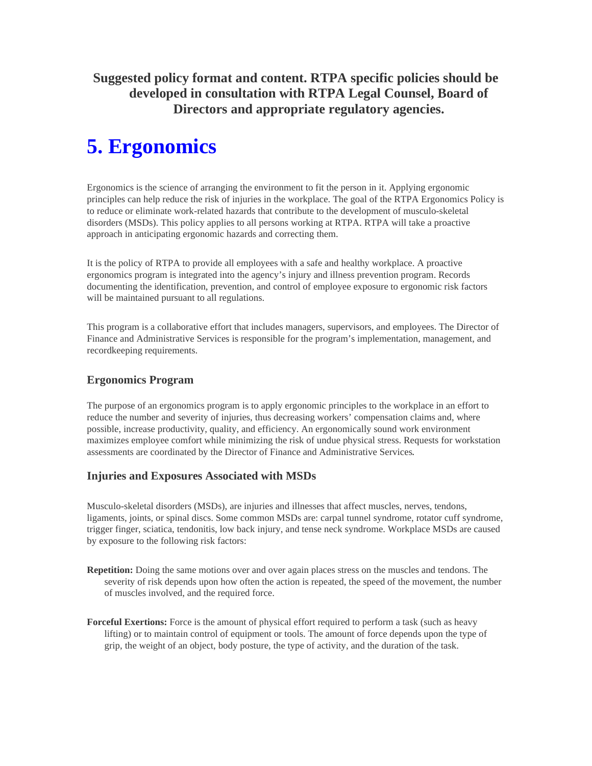**Suggested policy format and content. RTPA specific policies should be developed in consultation with RTPA Legal Counsel, Board of Directors and appropriate regulatory agencies.** 

# **5. Ergonomics**

Ergonomics is the science of arranging the environment to fit the person in it. Applying ergonomic principles can help reduce the risk of injuries in the workplace. The goal of the RTPA Ergonomics Policy is to reduce or eliminate work-related hazards that contribute to the development of musculo-skeletal disorders (MSDs). This policy applies to all persons working at RTPA. RTPA will take a proactive approach in anticipating ergonomic hazards and correcting them.

It is the policy of RTPA to provide all employees with a safe and healthy workplace. A proactive ergonomics program is integrated into the agency's injury and illness prevention program. Records documenting the identification, prevention, and control of employee exposure to ergonomic risk factors will be maintained pursuant to all regulations.

This program is a collaborative effort that includes managers, supervisors, and employees. The Director of Finance and Administrative Services is responsible for the program's implementation, management, and recordkeeping requirements.

# **Ergonomics Program**

The purpose of an ergonomics program is to apply ergonomic principles to the workplace in an effort to reduce the number and severity of injuries, thus decreasing workers' compensation claims and, where possible, increase productivity, quality, and efficiency. An ergonomically sound work environment maximizes employee comfort while minimizing the risk of undue physical stress. Requests for workstation assessments are coordinated by the Director of Finance and Administrative Services**.** 

# **Injuries and Exposures Associated with MSDs**

Musculo-skeletal disorders (MSDs), are injuries and illnesses that affect muscles, nerves, tendons, ligaments, joints, or spinal discs. Some common MSDs are: carpal tunnel syndrome, rotator cuff syndrome, trigger finger, sciatica, tendonitis, low back injury, and tense neck syndrome. Workplace MSDs are caused by exposure to the following risk factors:

- **Repetition:** Doing the same motions over and over again places stress on the muscles and tendons. The severity of risk depends upon how often the action is repeated, the speed of the movement, the number of muscles involved, and the required force.
- **Forceful Exertions:** Force is the amount of physical effort required to perform a task (such as heavy lifting) or to maintain control of equipment or tools. The amount of force depends upon the type of grip, the weight of an object, body posture, the type of activity, and the duration of the task.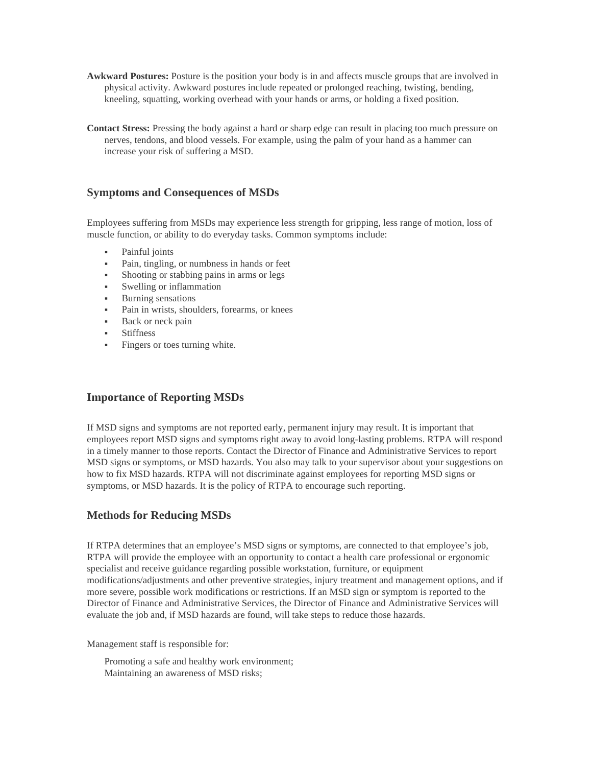- **Awkward Postures:** Posture is the position your body is in and affects muscle groups that are involved in physical activity. Awkward postures include repeated or prolonged reaching, twisting, bending, kneeling, squatting, working overhead with your hands or arms, or holding a fixed position.
- **Contact Stress:** Pressing the body against a hard or sharp edge can result in placing too much pressure on nerves, tendons, and blood vessels. For example, using the palm of your hand as a hammer can increase your risk of suffering a MSD.

## **Symptoms and Consequences of MSDs**

Employees suffering from MSDs may experience less strength for gripping, less range of motion, loss of muscle function, or ability to do everyday tasks. Common symptoms include:

- Painful joints
- Pain, tingling, or numbness in hands or feet
- Shooting or stabbing pains in arms or legs
- Swelling or inflammation
- **Burning sensations**
- Pain in wrists, shoulders, forearms, or knees
- Back or neck pain
- **Stiffness**
- Fingers or toes turning white.

## **Importance of Reporting MSDs**

If MSD signs and symptoms are not reported early, permanent injury may result. It is important that employees report MSD signs and symptoms right away to avoid long-lasting problems. RTPA will respond in a timely manner to those reports. Contact the Director of Finance and Administrative Services to report MSD signs or symptoms, or MSD hazards. You also may talk to your supervisor about your suggestions on how to fix MSD hazards. RTPA will not discriminate against employees for reporting MSD signs or symptoms, or MSD hazards. It is the policy of RTPA to encourage such reporting.

## **Methods for Reducing MSDs**

If RTPA determines that an employee's MSD signs or symptoms, are connected to that employee's job, RTPA will provide the employee with an opportunity to contact a health care professional or ergonomic specialist and receive guidance regarding possible workstation, furniture, or equipment modifications/adjustments and other preventive strategies, injury treatment and management options, and if more severe, possible work modifications or restrictions. If an MSD sign or symptom is reported to the Director of Finance and Administrative Services, the Director of Finance and Administrative Services will evaluate the job and, if MSD hazards are found, will take steps to reduce those hazards.

Management staff is responsible for:

Promoting a safe and healthy work environment; Maintaining an awareness of MSD risks;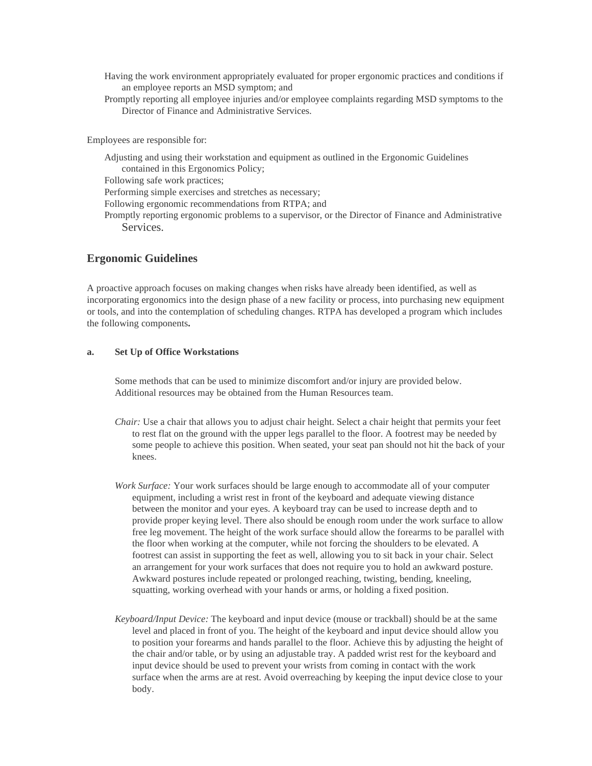- Having the work environment appropriately evaluated for proper ergonomic practices and conditions if an employee reports an MSD symptom; and
- Promptly reporting all employee injuries and/or employee complaints regarding MSD symptoms to the Director of Finance and Administrative Services.

Employees are responsible for:

Adjusting and using their workstation and equipment as outlined in the Ergonomic Guidelines contained in this Ergonomics Policy; Following safe work practices; Performing simple exercises and stretches as necessary; Following ergonomic recommendations from RTPA; and Promptly reporting ergonomic problems to a supervisor, or the Director of Finance and Administrative Services.

#### **Ergonomic Guidelines**

A proactive approach focuses on making changes when risks have already been identified, as well as incorporating ergonomics into the design phase of a new facility or process, into purchasing new equipment or tools, and into the contemplation of scheduling changes. RTPA has developed a program which includes the following components**.**

#### **a. Set Up of Office Workstations**

Some methods that can be used to minimize discomfort and/or injury are provided below. Additional resources may be obtained from the Human Resources team.

- *Chair:* Use a chair that allows you to adjust chair height. Select a chair height that permits your feet to rest flat on the ground with the upper legs parallel to the floor. A footrest may be needed by some people to achieve this position. When seated, your seat pan should not hit the back of your knees.
- *Work Surface:* Your work surfaces should be large enough to accommodate all of your computer equipment, including a wrist rest in front of the keyboard and adequate viewing distance between the monitor and your eyes. A keyboard tray can be used to increase depth and to provide proper keying level. There also should be enough room under the work surface to allow free leg movement. The height of the work surface should allow the forearms to be parallel with the floor when working at the computer, while not forcing the shoulders to be elevated. A footrest can assist in supporting the feet as well, allowing you to sit back in your chair. Select an arrangement for your work surfaces that does not require you to hold an awkward posture. Awkward postures include repeated or prolonged reaching, twisting, bending, kneeling, squatting, working overhead with your hands or arms, or holding a fixed position.
- *Keyboard/Input Device:* The keyboard and input device (mouse or trackball) should be at the same level and placed in front of you. The height of the keyboard and input device should allow you to position your forearms and hands parallel to the floor. Achieve this by adjusting the height of the chair and/or table, or by using an adjustable tray. A padded wrist rest for the keyboard and input device should be used to prevent your wrists from coming in contact with the work surface when the arms are at rest. Avoid overreaching by keeping the input device close to your body.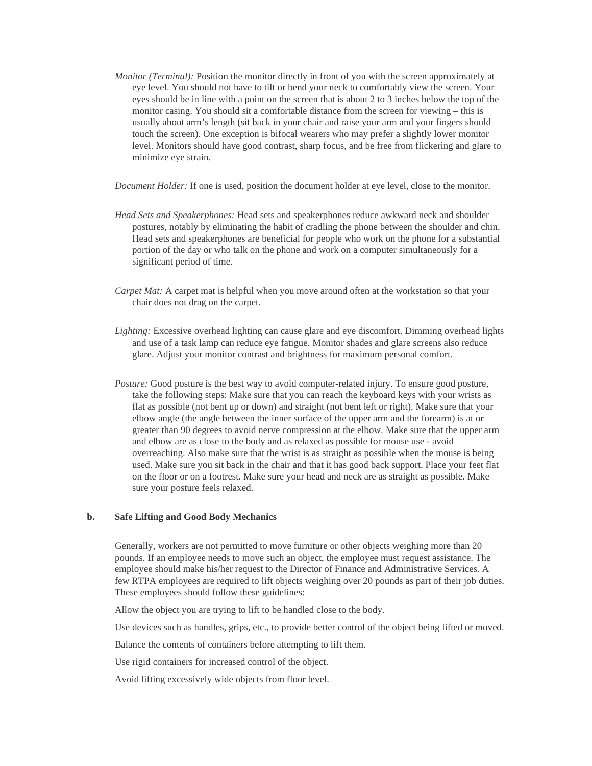*Monitor (Terminal):* Position the monitor directly in front of you with the screen approximately at eye level. You should not have to tilt or bend your neck to comfortably view the screen. Your eyes should be in line with a point on the screen that is about 2 to 3 inches below the top of the monitor casing. You should sit a comfortable distance from the screen for viewing – this is usually about arm's length (sit back in your chair and raise your arm and your fingers should touch the screen). One exception is bifocal wearers who may prefer a slightly lower monitor level. Monitors should have good contrast, sharp focus, and be free from flickering and glare to minimize eye strain.

*Document Holder:* If one is used, position the document holder at eye level, close to the monitor.

- *Head Sets and Speakerphones:* Head sets and speakerphones reduce awkward neck and shoulder postures, notably by eliminating the habit of cradling the phone between the shoulder and chin. Head sets and speakerphones are beneficial for people who work on the phone for a substantial portion of the day or who talk on the phone and work on a computer simultaneously for a significant period of time.
- *Carpet Mat:* A carpet mat is helpful when you move around often at the workstation so that your chair does not drag on the carpet.
- *Lighting:* Excessive overhead lighting can cause glare and eye discomfort. Dimming overhead lights and use of a task lamp can reduce eye fatigue. Monitor shades and glare screens also reduce glare. Adjust your monitor contrast and brightness for maximum personal comfort.
- *Posture:* Good posture is the best way to avoid computer-related injury. To ensure good posture, take the following steps: Make sure that you can reach the keyboard keys with your wrists as flat as possible (not bent up or down) and straight (not bent left or right). Make sure that your elbow angle (the angle between the inner surface of the upper arm and the forearm) is at or greater than 90 degrees to avoid nerve compression at the elbow. Make sure that the upper arm and elbow are as close to the body and as relaxed as possible for mouse use - avoid overreaching. Also make sure that the wrist is as straight as possible when the mouse is being used. Make sure you sit back in the chair and that it has good back support. Place your feet flat on the floor or on a footrest. Make sure your head and neck are as straight as possible. Make sure your posture feels relaxed.

#### **b. Safe Lifting and Good Body Mechanics**

Generally, workers are not permitted to move furniture or other objects weighing more than 20 pounds. If an employee needs to move such an object, the employee must request assistance. The employee should make his/her request to the Director of Finance and Administrative Services. A few RTPA employees are required to lift objects weighing over 20 pounds as part of their job duties. These employees should follow these guidelines:

Allow the object you are trying to lift to be handled close to the body.

Use devices such as handles, grips, etc., to provide better control of the object being lifted or moved.

Balance the contents of containers before attempting to lift them.

Use rigid containers for increased control of the object.

Avoid lifting excessively wide objects from floor level.